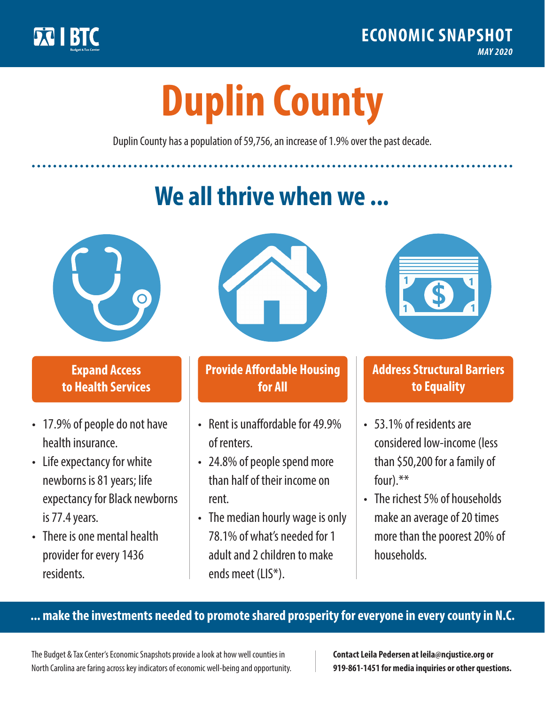

**1**

# **Duplin County**

Duplin County has a population of 59,756, an increase of 1.9% over the past decade.

# **We all thrive when we ...**



**\$ <sup>1</sup>**

**\$ <sup>1</sup>**

## **Expand Access to Health Services**

- 17.9% of people do not have health insurance.
- Life expectancy for white newborns is 81years; life expectancy for Black newborns is 77.4years.
- There is one mental health provider for every 1436 residents.



## **Provide Affordable Housing for All**

- Rent is unaffordable for 49.9% of renters.
- 24.8% of people spend more than half of their income on rent.
- The median hourly wage is only 78.1% of what's needed for 1 adult and 2 children to make ends meet (LIS\*).



## **Address Structural Barriers to Equality**

- 53.1% of residents are considered low-income (less than \$50,200 for a family of four).\*\*
- The richest 5% of households make an average of 20 times more than the poorest 20% of households.

#### **... make the investments needed to promote shared prosperity for everyone in every county in N.C.**

The Budget & Tax Center's Economic Snapshots provide a look at how well counties in North Carolina are faring across key indicators of economic well-being and opportunity.